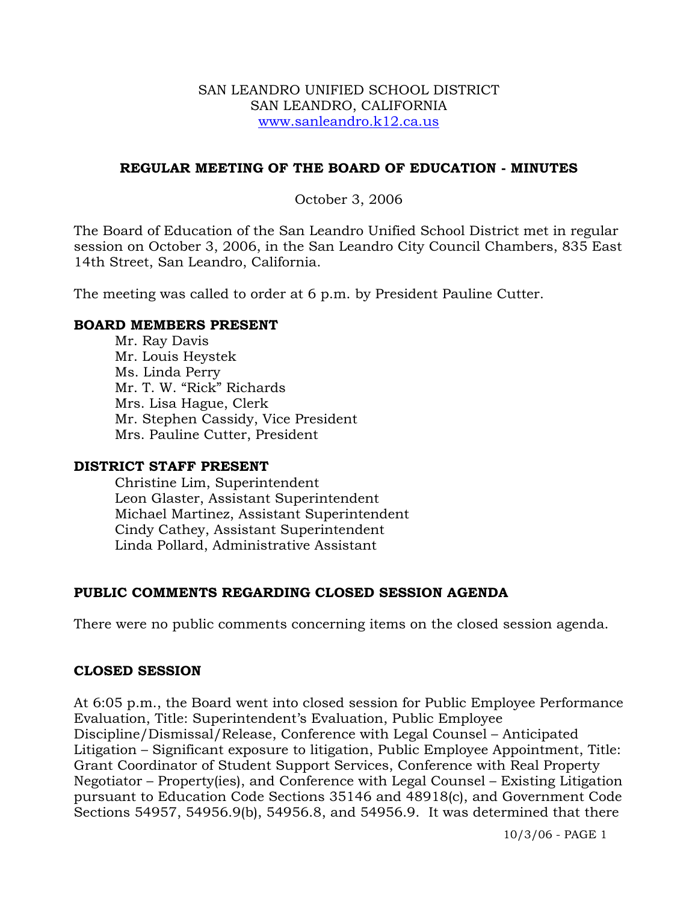#### SAN LEANDRO UNIFIED SCHOOL DISTRICT SAN LEANDRO, CALIFORNIA www.sanleandro.k12.ca.us

# **REGULAR MEETING OF THE BOARD OF EDUCATION - MINUTES**

# October 3, 2006

The Board of Education of the San Leandro Unified School District met in regular session on October 3, 2006, in the San Leandro City Council Chambers, 835 East 14th Street, San Leandro, California.

The meeting was called to order at 6 p.m. by President Pauline Cutter.

#### **BOARD MEMBERS PRESENT**

Mr. Ray Davis Mr. Louis Heystek Ms. Linda Perry Mr. T. W. "Rick" Richards Mrs. Lisa Hague, Clerk Mr. Stephen Cassidy, Vice President Mrs. Pauline Cutter, President

#### **DISTRICT STAFF PRESENT**

Christine Lim, Superintendent Leon Glaster, Assistant Superintendent Michael Martinez, Assistant Superintendent Cindy Cathey, Assistant Superintendent Linda Pollard, Administrative Assistant

# **PUBLIC COMMENTS REGARDING CLOSED SESSION AGENDA**

There were no public comments concerning items on the closed session agenda.

#### **CLOSED SESSION**

At 6:05 p.m., the Board went into closed session for Public Employee Performance Evaluation, Title: Superintendent's Evaluation, Public Employee Discipline/Dismissal/Release, Conference with Legal Counsel – Anticipated Litigation – Significant exposure to litigation, Public Employee Appointment, Title: Grant Coordinator of Student Support Services, Conference with Real Property Negotiator – Property(ies), and Conference with Legal Counsel – Existing Litigation pursuant to Education Code Sections 35146 and 48918(c), and Government Code Sections 54957, 54956.9(b), 54956.8, and 54956.9. It was determined that there

10/3/06 - PAGE 1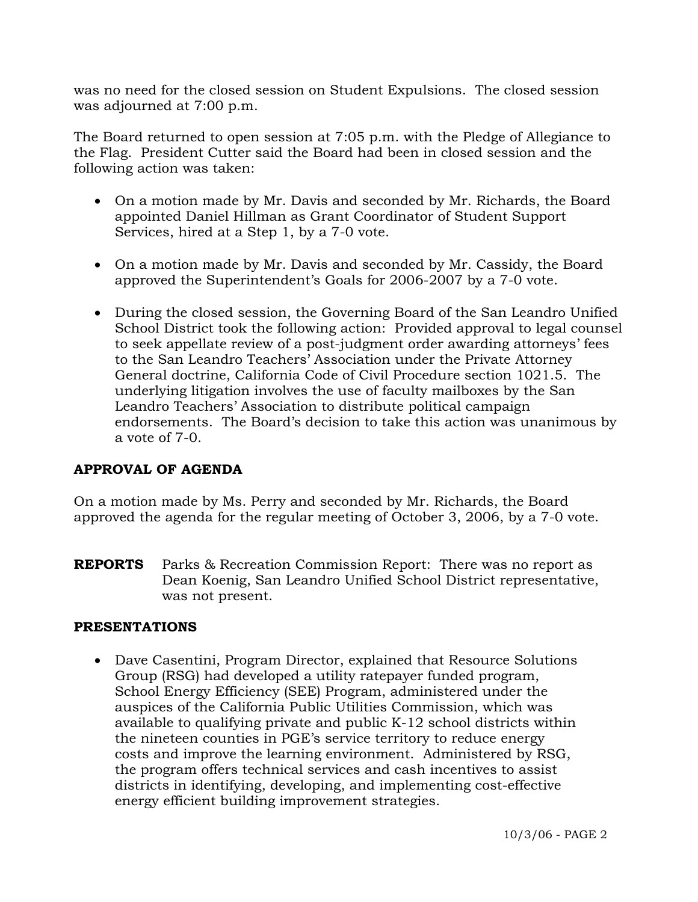was no need for the closed session on Student Expulsions. The closed session was adjourned at 7:00 p.m.

The Board returned to open session at 7:05 p.m. with the Pledge of Allegiance to the Flag. President Cutter said the Board had been in closed session and the following action was taken:

- On a motion made by Mr. Davis and seconded by Mr. Richards, the Board appointed Daniel Hillman as Grant Coordinator of Student Support Services, hired at a Step 1, by a 7-0 vote.
- On a motion made by Mr. Davis and seconded by Mr. Cassidy, the Board approved the Superintendent's Goals for 2006-2007 by a 7-0 vote.
- During the closed session, the Governing Board of the San Leandro Unified School District took the following action: Provided approval to legal counsel to seek appellate review of a post-judgment order awarding attorneys' fees to the San Leandro Teachers' Association under the Private Attorney General doctrine, California Code of Civil Procedure section 1021.5. The underlying litigation involves the use of faculty mailboxes by the San Leandro Teachers' Association to distribute political campaign endorsements. The Board's decision to take this action was unanimous by a vote of 7-0.

# **APPROVAL OF AGENDA**

On a motion made by Ms. Perry and seconded by Mr. Richards, the Board approved the agenda for the regular meeting of October 3, 2006, by a 7-0 vote.

**REPORTS** Parks & Recreation Commission Report: There was no report as Dean Koenig, San Leandro Unified School District representative, was not present.

# **PRESENTATIONS**

• Dave Casentini, Program Director, explained that Resource Solutions Group (RSG) had developed a utility ratepayer funded program, School Energy Efficiency (SEE) Program, administered under the auspices of the California Public Utilities Commission, which was available to qualifying private and public K-12 school districts within the nineteen counties in PGE's service territory to reduce energy costs and improve the learning environment. Administered by RSG, the program offers technical services and cash incentives to assist districts in identifying, developing, and implementing cost-effective energy efficient building improvement strategies.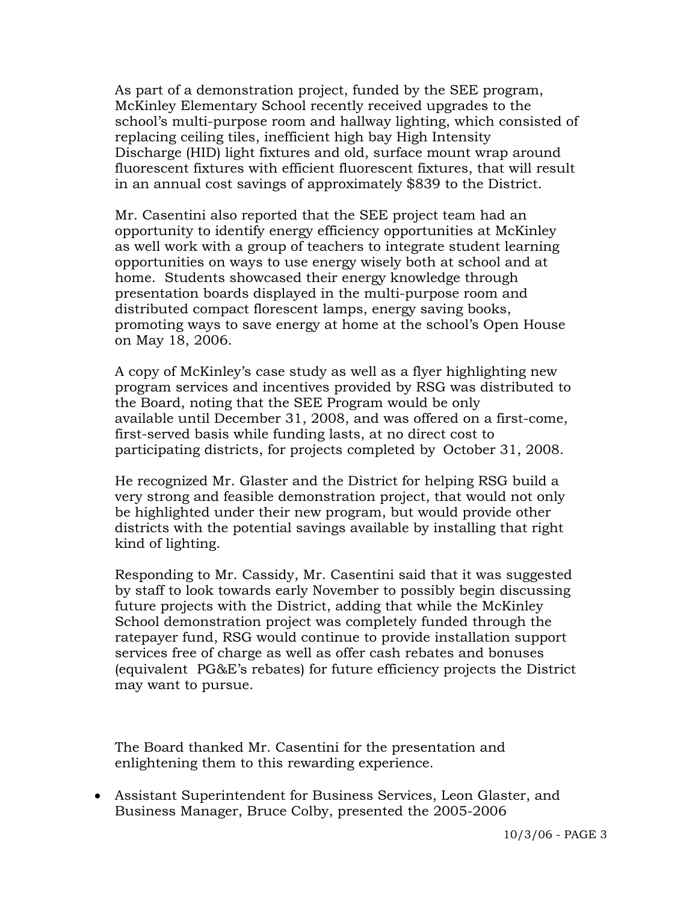As part of a demonstration project, funded by the SEE program, McKinley Elementary School recently received upgrades to the school's multi-purpose room and hallway lighting, which consisted of replacing ceiling tiles, inefficient high bay High Intensity Discharge (HID) light fixtures and old, surface mount wrap around fluorescent fixtures with efficient fluorescent fixtures, that will result in an annual cost savings of approximately \$839 to the District.

 Mr. Casentini also reported that the SEE project team had an opportunity to identify energy efficiency opportunities at McKinley as well work with a group of teachers to integrate student learning opportunities on ways to use energy wisely both at school and at home. Students showcased their energy knowledge through presentation boards displayed in the multi-purpose room and distributed compact florescent lamps, energy saving books, promoting ways to save energy at home at the school's Open House on May 18, 2006.

 A copy of McKinley's case study as well as a flyer highlighting new program services and incentives provided by RSG was distributed to the Board, noting that the SEE Program would be only available until December 31, 2008, and was offered on a first-come, first-served basis while funding lasts, at no direct cost to participating districts, for projects completed by October 31, 2008.

 He recognized Mr. Glaster and the District for helping RSG build a very strong and feasible demonstration project, that would not only be highlighted under their new program, but would provide other districts with the potential savings available by installing that right kind of lighting.

 Responding to Mr. Cassidy, Mr. Casentini said that it was suggested by staff to look towards early November to possibly begin discussing future projects with the District, adding that while the McKinley School demonstration project was completely funded through the ratepayer fund, RSG would continue to provide installation support services free of charge as well as offer cash rebates and bonuses (equivalent PG&E's rebates) for future efficiency projects the District may want to pursue.

 The Board thanked Mr. Casentini for the presentation and enlightening them to this rewarding experience.

• Assistant Superintendent for Business Services, Leon Glaster, and Business Manager, Bruce Colby, presented the 2005-2006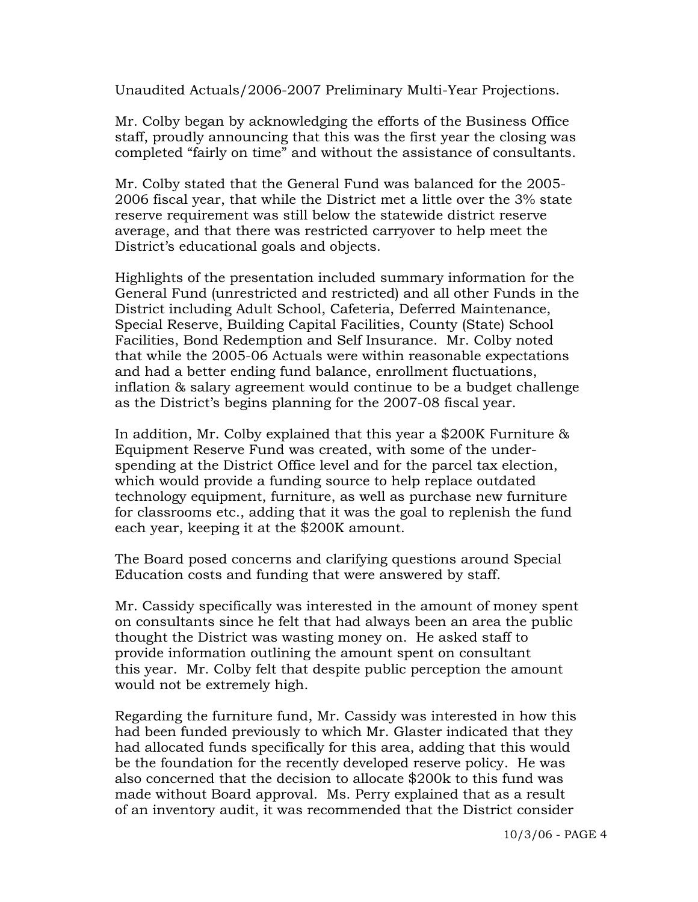Unaudited Actuals/2006-2007 Preliminary Multi-Year Projections.

 Mr. Colby began by acknowledging the efforts of the Business Office staff, proudly announcing that this was the first year the closing was completed "fairly on time" and without the assistance of consultants.

 Mr. Colby stated that the General Fund was balanced for the 2005- 2006 fiscal year, that while the District met a little over the 3% state reserve requirement was still below the statewide district reserve average, and that there was restricted carryover to help meet the District's educational goals and objects.

 Highlights of the presentation included summary information for the General Fund (unrestricted and restricted) and all other Funds in the District including Adult School, Cafeteria, Deferred Maintenance, Special Reserve, Building Capital Facilities, County (State) School Facilities, Bond Redemption and Self Insurance. Mr. Colby noted that while the 2005-06 Actuals were within reasonable expectations and had a better ending fund balance, enrollment fluctuations, inflation & salary agreement would continue to be a budget challenge as the District's begins planning for the 2007-08 fiscal year.

 In addition, Mr. Colby explained that this year a \$200K Furniture & Equipment Reserve Fund was created, with some of the under spending at the District Office level and for the parcel tax election, which would provide a funding source to help replace outdated technology equipment, furniture, as well as purchase new furniture for classrooms etc., adding that it was the goal to replenish the fund each year, keeping it at the \$200K amount.

 The Board posed concerns and clarifying questions around Special Education costs and funding that were answered by staff.

 Mr. Cassidy specifically was interested in the amount of money spent on consultants since he felt that had always been an area the public thought the District was wasting money on. He asked staff to provide information outlining the amount spent on consultant this year. Mr. Colby felt that despite public perception the amount would not be extremely high.

 Regarding the furniture fund, Mr. Cassidy was interested in how this had been funded previously to which Mr. Glaster indicated that they had allocated funds specifically for this area, adding that this would be the foundation for the recently developed reserve policy. He was also concerned that the decision to allocate \$200k to this fund was made without Board approval. Ms. Perry explained that as a result of an inventory audit, it was recommended that the District consider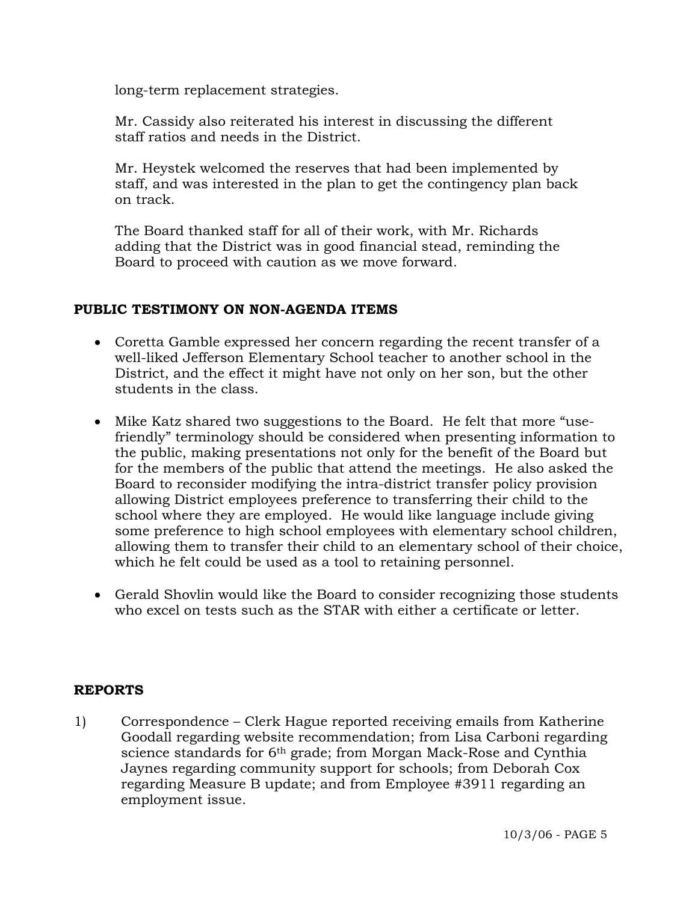long-term replacement strategies.

 Mr. Cassidy also reiterated his interest in discussing the different staff ratios and needs in the District.

 Mr. Heystek welcomed the reserves that had been implemented by staff, and was interested in the plan to get the contingency plan back on track.

 The Board thanked staff for all of their work, with Mr. Richards adding that the District was in good financial stead, reminding the Board to proceed with caution as we move forward.

# **PUBLIC TESTIMONY ON NON-AGENDA ITEMS**

- Coretta Gamble expressed her concern regarding the recent transfer of a well-liked Jefferson Elementary School teacher to another school in the District, and the effect it might have not only on her son, but the other students in the class.
- Mike Katz shared two suggestions to the Board. He felt that more "usefriendly" terminology should be considered when presenting information to the public, making presentations not only for the benefit of the Board but for the members of the public that attend the meetings. He also asked the Board to reconsider modifying the intra-district transfer policy provision allowing District employees preference to transferring their child to the school where they are employed. He would like language include giving some preference to high school employees with elementary school children, allowing them to transfer their child to an elementary school of their choice, which he felt could be used as a tool to retaining personnel.
- Gerald Shovlin would like the Board to consider recognizing those students who excel on tests such as the STAR with either a certificate or letter.

# **REPORTS**

1) Correspondence – Clerk Hague reported receiving emails from Katherine Goodall regarding website recommendation; from Lisa Carboni regarding science standards for 6<sup>th</sup> grade; from Morgan Mack-Rose and Cynthia Jaynes regarding community support for schools; from Deborah Cox regarding Measure B update; and from Employee #3911 regarding an employment issue.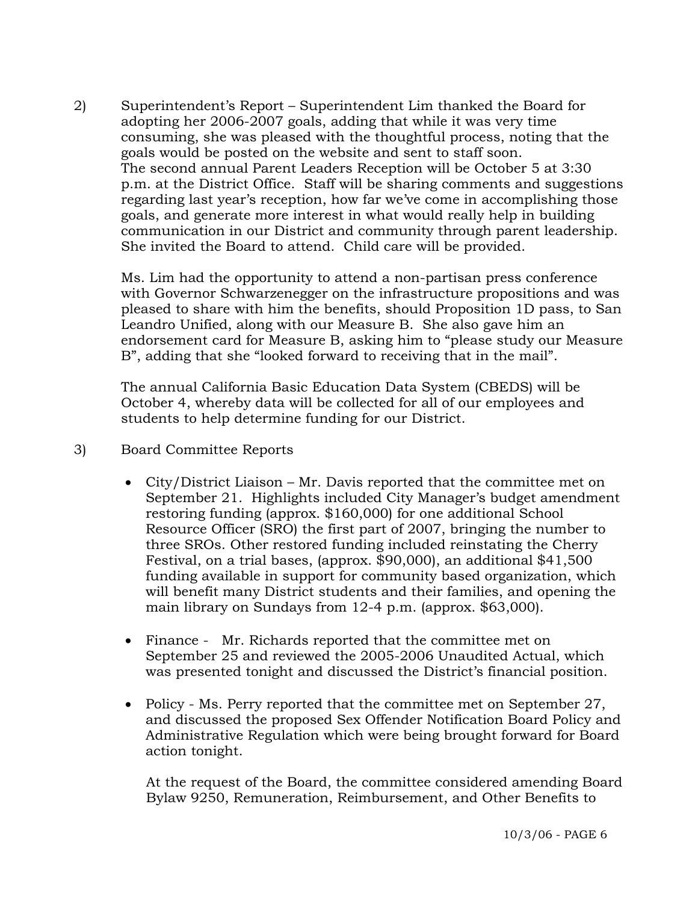2) Superintendent's Report – Superintendent Lim thanked the Board for adopting her 2006-2007 goals, adding that while it was very time consuming, she was pleased with the thoughtful process, noting that the goals would be posted on the website and sent to staff soon. The second annual Parent Leaders Reception will be October 5 at 3:30 p.m. at the District Office. Staff will be sharing comments and suggestions regarding last year's reception, how far we've come in accomplishing those goals, and generate more interest in what would really help in building communication in our District and community through parent leadership. She invited the Board to attend. Child care will be provided.

Ms. Lim had the opportunity to attend a non-partisan press conference with Governor Schwarzenegger on the infrastructure propositions and was pleased to share with him the benefits, should Proposition 1D pass, to San Leandro Unified, along with our Measure B. She also gave him an endorsement card for Measure B, asking him to "please study our Measure B", adding that she "looked forward to receiving that in the mail".

The annual California Basic Education Data System (CBEDS) will be October 4, whereby data will be collected for all of our employees and students to help determine funding for our District.

- 3) Board Committee Reports
	- City/District Liaison Mr. Davis reported that the committee met on September 21. Highlights included City Manager's budget amendment restoring funding (approx. \$160,000) for one additional School Resource Officer (SRO) the first part of 2007, bringing the number to three SROs. Other restored funding included reinstating the Cherry Festival, on a trial bases, (approx. \$90,000), an additional \$41,500 funding available in support for community based organization, which will benefit many District students and their families, and opening the main library on Sundays from 12-4 p.m. (approx. \$63,000).
	- Finance Mr. Richards reported that the committee met on September 25 and reviewed the 2005-2006 Unaudited Actual, which was presented tonight and discussed the District's financial position.
	- Policy Ms. Perry reported that the committee met on September 27, and discussed the proposed Sex Offender Notification Board Policy and Administrative Regulation which were being brought forward for Board action tonight.

 At the request of the Board, the committee considered amending Board Bylaw 9250, Remuneration, Reimbursement, and Other Benefits to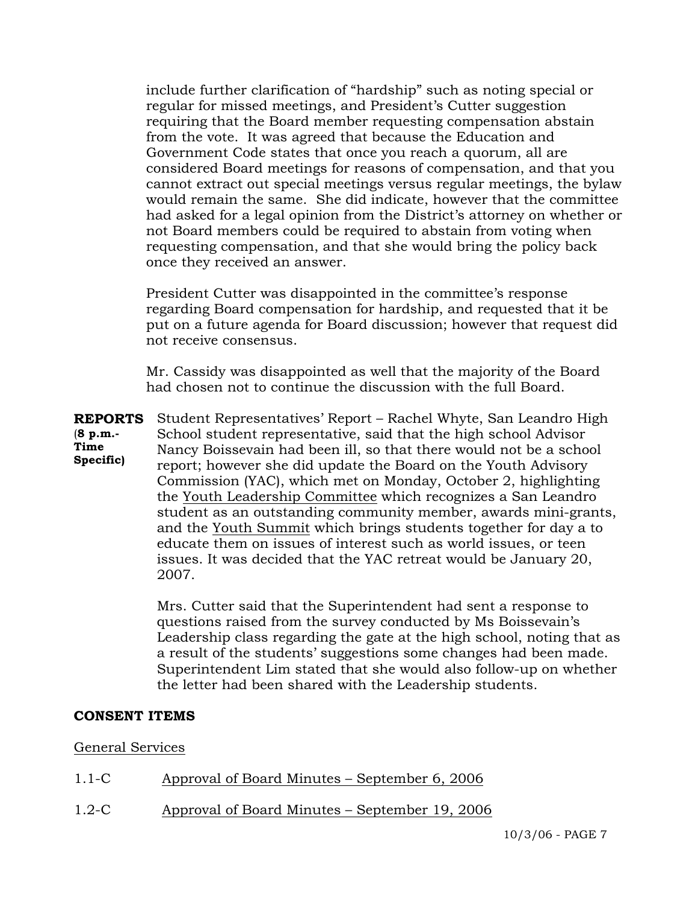include further clarification of "hardship" such as noting special or regular for missed meetings, and President's Cutter suggestion requiring that the Board member requesting compensation abstain from the vote. It was agreed that because the Education and Government Code states that once you reach a quorum, all are considered Board meetings for reasons of compensation, and that you cannot extract out special meetings versus regular meetings, the bylaw would remain the same. She did indicate, however that the committee had asked for a legal opinion from the District's attorney on whether or not Board members could be required to abstain from voting when requesting compensation, and that she would bring the policy back once they received an answer.

 President Cutter was disappointed in the committee's response regarding Board compensation for hardship, and requested that it be put on a future agenda for Board discussion; however that request did not receive consensus.

 Mr. Cassidy was disappointed as well that the majority of the Board had chosen not to continue the discussion with the full Board.

**REPORTS** (**8 p.m.- Time Specific)** Student Representatives' Report – Rachel Whyte, San Leandro High School student representative, said that the high school Advisor Nancy Boissevain had been ill, so that there would not be a school report; however she did update the Board on the Youth Advisory Commission (YAC), which met on Monday, October 2, highlighting the Youth Leadership Committee which recognizes a San Leandro student as an outstanding community member, awards mini-grants, and the Youth Summit which brings students together for day a to educate them on issues of interest such as world issues, or teen issues. It was decided that the YAC retreat would be January 20, 2007.

> Mrs. Cutter said that the Superintendent had sent a response to questions raised from the survey conducted by Ms Boissevain's Leadership class regarding the gate at the high school, noting that as a result of the students' suggestions some changes had been made. Superintendent Lim stated that she would also follow-up on whether the letter had been shared with the Leadership students.

#### **CONSENT ITEMS**

#### General Services

| Approval of Board Minutes – September 6, 2006<br>$1.1-C$ |
|----------------------------------------------------------|
|----------------------------------------------------------|

1.2-C Approval of Board Minutes – September 19, 2006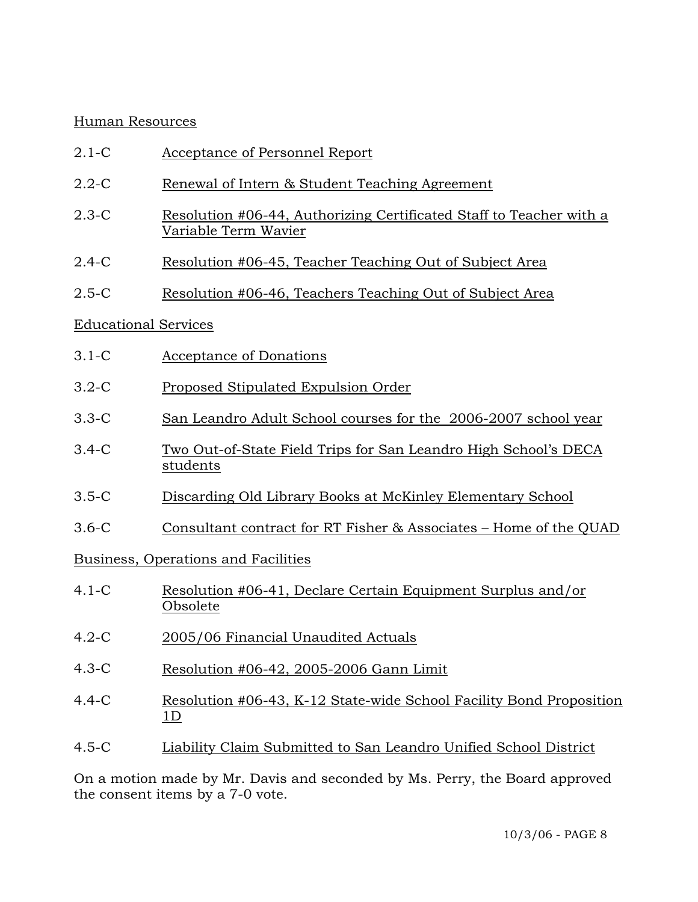## Human Resources

- 2.1-C Acceptance of Personnel Report
- 2.2-C Renewal of Intern & Student Teaching Agreement
- 2.3-C Resolution #06-44, Authorizing Certificated Staff to Teacher with a Variable Term Wavier
- 2.4-C Resolution #06-45, Teacher Teaching Out of Subject Area
- 2.5-C Resolution #06-46, Teachers Teaching Out of Subject Area

# Educational Services

- 3.1-C Acceptance of Donations
- 3.2-C Proposed Stipulated Expulsion Order
- 3.3-C San Leandro Adult School courses for the 2006-2007 school year
- 3.4-C Two Out-of-State Field Trips for San Leandro High School's DECA students
- 3.5-C Discarding Old Library Books at McKinley Elementary School
- 3.6-C Consultant contract for RT Fisher & Associates Home of the QUAD

Business, Operations and Facilities

- 4.1-C Resolution #06-41, Declare Certain Equipment Surplus and/or Obsolete
- 4.2-C 2005/06 Financial Unaudited Actuals
- 4.3-C Resolution #06-42, 2005-2006 Gann Limit
- 4.4-C Resolution #06-43, K-12 State-wide School Facility Bond Proposition 1D
- 4.5-C Liability Claim Submitted to San Leandro Unified School District

On a motion made by Mr. Davis and seconded by Ms. Perry, the Board approved the consent items by a 7-0 vote.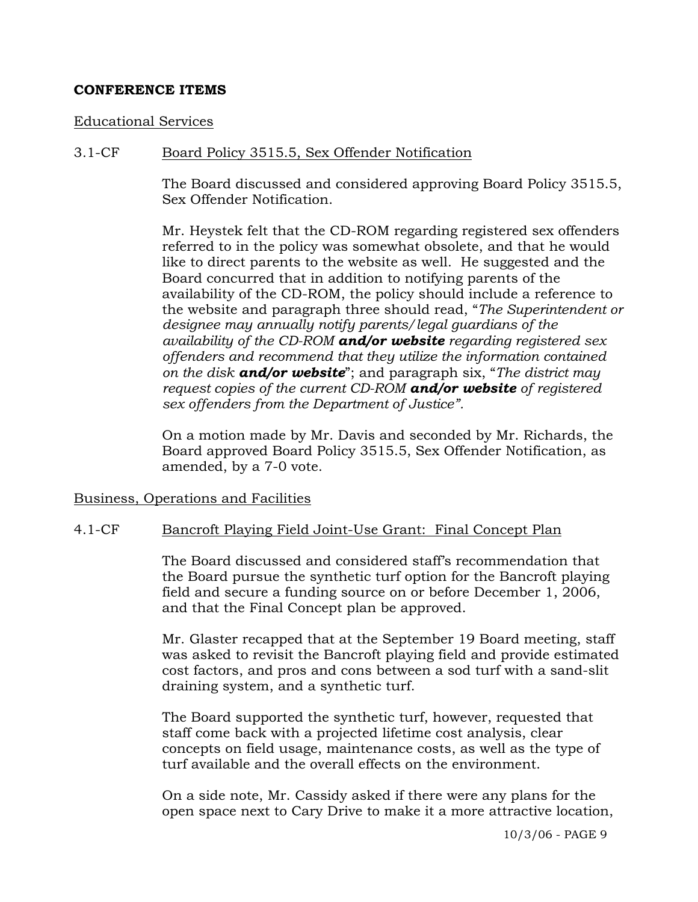## **CONFERENCE ITEMS**

#### Educational Services

### 3.1-CF Board Policy 3515.5, Sex Offender Notification

The Board discussed and considered approving Board Policy 3515.5, Sex Offender Notification.

Mr. Heystek felt that the CD-ROM regarding registered sex offenders referred to in the policy was somewhat obsolete, and that he would like to direct parents to the website as well. He suggested and the Board concurred that in addition to notifying parents of the availability of the CD-ROM, the policy should include a reference to the website and paragraph three should read, "*The Superintendent or designee may annually notify parents/legal guardians of the availability of the CD-ROM and/or website regarding registered sex offenders and recommend that they utilize the information contained on the disk and/or website*"; and paragraph six, "*The district may request copies of the current CD-ROM and/or website of registered sex offenders from the Department of Justice".*

On a motion made by Mr. Davis and seconded by Mr. Richards, the Board approved Board Policy 3515.5, Sex Offender Notification, as amended, by a 7-0 vote.

Business, Operations and Facilities

#### 4.1-CF Bancroft Playing Field Joint-Use Grant: Final Concept Plan

The Board discussed and considered staff's recommendation that the Board pursue the synthetic turf option for the Bancroft playing field and secure a funding source on or before December 1, 2006, and that the Final Concept plan be approved.

Mr. Glaster recapped that at the September 19 Board meeting, staff was asked to revisit the Bancroft playing field and provide estimated cost factors, and pros and cons between a sod turf with a sand-slit draining system, and a synthetic turf.

The Board supported the synthetic turf, however, requested that staff come back with a projected lifetime cost analysis, clear concepts on field usage, maintenance costs, as well as the type of turf available and the overall effects on the environment.

On a side note, Mr. Cassidy asked if there were any plans for the open space next to Cary Drive to make it a more attractive location,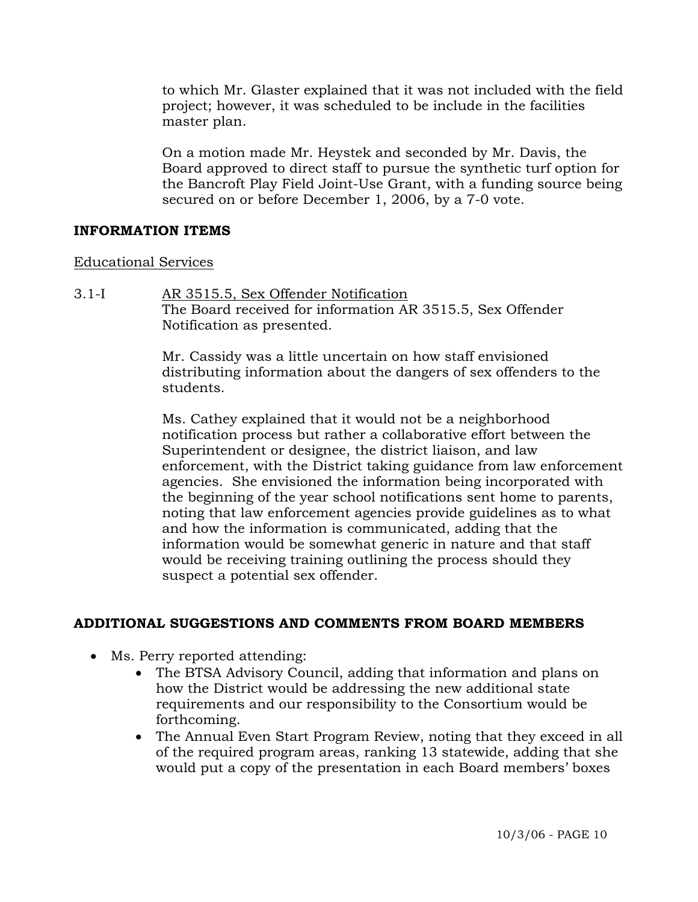to which Mr. Glaster explained that it was not included with the field project; however, it was scheduled to be include in the facilities master plan.

On a motion made Mr. Heystek and seconded by Mr. Davis, the Board approved to direct staff to pursue the synthetic turf option for the Bancroft Play Field Joint-Use Grant, with a funding source being secured on or before December 1, 2006, by a 7-0 vote.

# **INFORMATION ITEMS**

#### Educational Services

3.1-I AR 3515.5, Sex Offender Notification The Board received for information AR 3515.5, Sex Offender Notification as presented.

> Mr. Cassidy was a little uncertain on how staff envisioned distributing information about the dangers of sex offenders to the students.

Ms. Cathey explained that it would not be a neighborhood notification process but rather a collaborative effort between the Superintendent or designee, the district liaison, and law enforcement, with the District taking guidance from law enforcement agencies. She envisioned the information being incorporated with the beginning of the year school notifications sent home to parents, noting that law enforcement agencies provide guidelines as to what and how the information is communicated, adding that the information would be somewhat generic in nature and that staff would be receiving training outlining the process should they suspect a potential sex offender.

# **ADDITIONAL SUGGESTIONS AND COMMENTS FROM BOARD MEMBERS**

- Ms. Perry reported attending:
	- The BTSA Advisory Council, adding that information and plans on how the District would be addressing the new additional state requirements and our responsibility to the Consortium would be forthcoming.
	- The Annual Even Start Program Review, noting that they exceed in all of the required program areas, ranking 13 statewide, adding that she would put a copy of the presentation in each Board members' boxes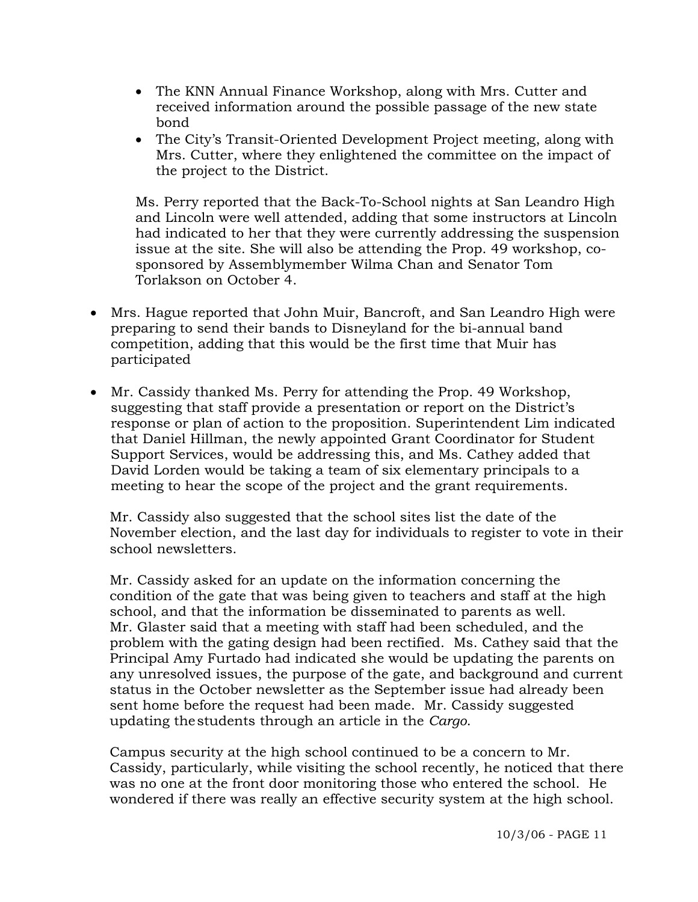- The KNN Annual Finance Workshop, along with Mrs. Cutter and received information around the possible passage of the new state bond
- The City's Transit-Oriented Development Project meeting, along with Mrs. Cutter, where they enlightened the committee on the impact of the project to the District.

Ms. Perry reported that the Back-To-School nights at San Leandro High and Lincoln were well attended, adding that some instructors at Lincoln had indicated to her that they were currently addressing the suspension issue at the site. She will also be attending the Prop. 49 workshop, cosponsored by Assemblymember Wilma Chan and Senator Tom Torlakson on October 4.

- Mrs. Hague reported that John Muir, Bancroft, and San Leandro High were preparing to send their bands to Disneyland for the bi-annual band competition, adding that this would be the first time that Muir has participated
- Mr. Cassidy thanked Ms. Perry for attending the Prop. 49 Workshop, suggesting that staff provide a presentation or report on the District's response or plan of action to the proposition. Superintendent Lim indicated that Daniel Hillman, the newly appointed Grant Coordinator for Student Support Services, would be addressing this, and Ms. Cathey added that David Lorden would be taking a team of six elementary principals to a meeting to hear the scope of the project and the grant requirements.

 Mr. Cassidy also suggested that the school sites list the date of the November election, and the last day for individuals to register to vote in their school newsletters.

 Mr. Cassidy asked for an update on the information concerning the condition of the gate that was being given to teachers and staff at the high school, and that the information be disseminated to parents as well. Mr. Glaster said that a meeting with staff had been scheduled, and the problem with the gating design had been rectified. Ms. Cathey said that the Principal Amy Furtado had indicated she would be updating the parents on any unresolved issues, the purpose of the gate, and background and current status in the October newsletter as the September issue had already been sent home before the request had been made. Mr. Cassidy suggested updating the students through an article in the *Cargo*.

 Campus security at the high school continued to be a concern to Mr. Cassidy, particularly, while visiting the school recently, he noticed that there was no one at the front door monitoring those who entered the school. He wondered if there was really an effective security system at the high school.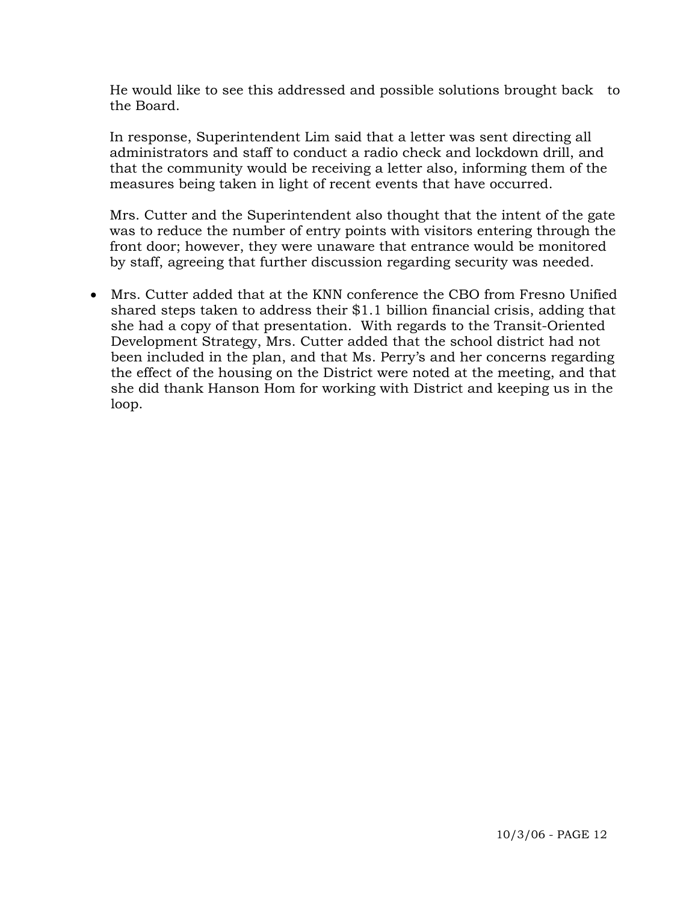He would like to see this addressed and possible solutions brought back to the Board.

 In response, Superintendent Lim said that a letter was sent directing all administrators and staff to conduct a radio check and lockdown drill, and that the community would be receiving a letter also, informing them of the measures being taken in light of recent events that have occurred.

 Mrs. Cutter and the Superintendent also thought that the intent of the gate was to reduce the number of entry points with visitors entering through the front door; however, they were unaware that entrance would be monitored by staff, agreeing that further discussion regarding security was needed.

• Mrs. Cutter added that at the KNN conference the CBO from Fresno Unified shared steps taken to address their \$1.1 billion financial crisis, adding that she had a copy of that presentation. With regards to the Transit-Oriented Development Strategy, Mrs. Cutter added that the school district had not been included in the plan, and that Ms. Perry's and her concerns regarding the effect of the housing on the District were noted at the meeting, and that she did thank Hanson Hom for working with District and keeping us in the loop.